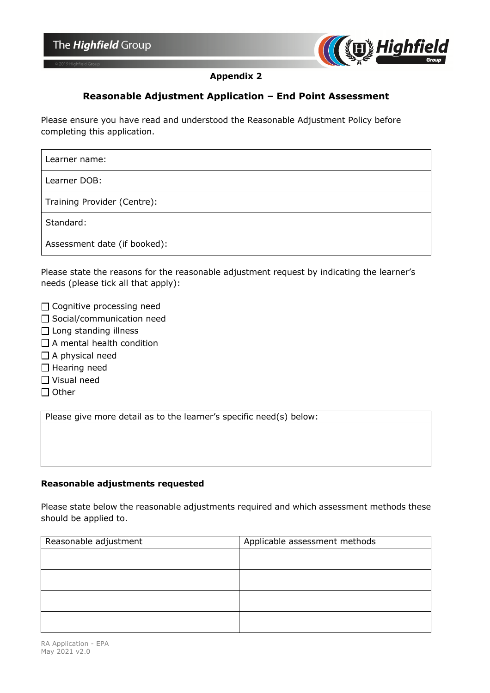

## **Appendix 2**

# **Reasonable Adjustment Application – End Point Assessment**

Please ensure you have read and understood the Reasonable Adjustment Policy before completing this application.

| Learner name:                |  |
|------------------------------|--|
| Learner DOB:                 |  |
| Training Provider (Centre):  |  |
| Standard:                    |  |
| Assessment date (if booked): |  |

Please state the reasons for the reasonable adjustment request by indicating the learner's needs (please tick all that apply):

□ Cognitive processing need

- □ Social/communication need
- □ Long standing illness
- $\Box$  A mental health condition
- $\Box$  A physical need
- □ Hearing need
- ☐ Visual need
- ☐ Other

Please give more detail as to the learner's specific need(s) below:

### **Reasonable adjustments requested**

Please state below the reasonable adjustments required and which assessment methods these should be applied to.

| Reasonable adjustment | Applicable assessment methods |
|-----------------------|-------------------------------|
|                       |                               |
|                       |                               |
|                       |                               |
|                       |                               |